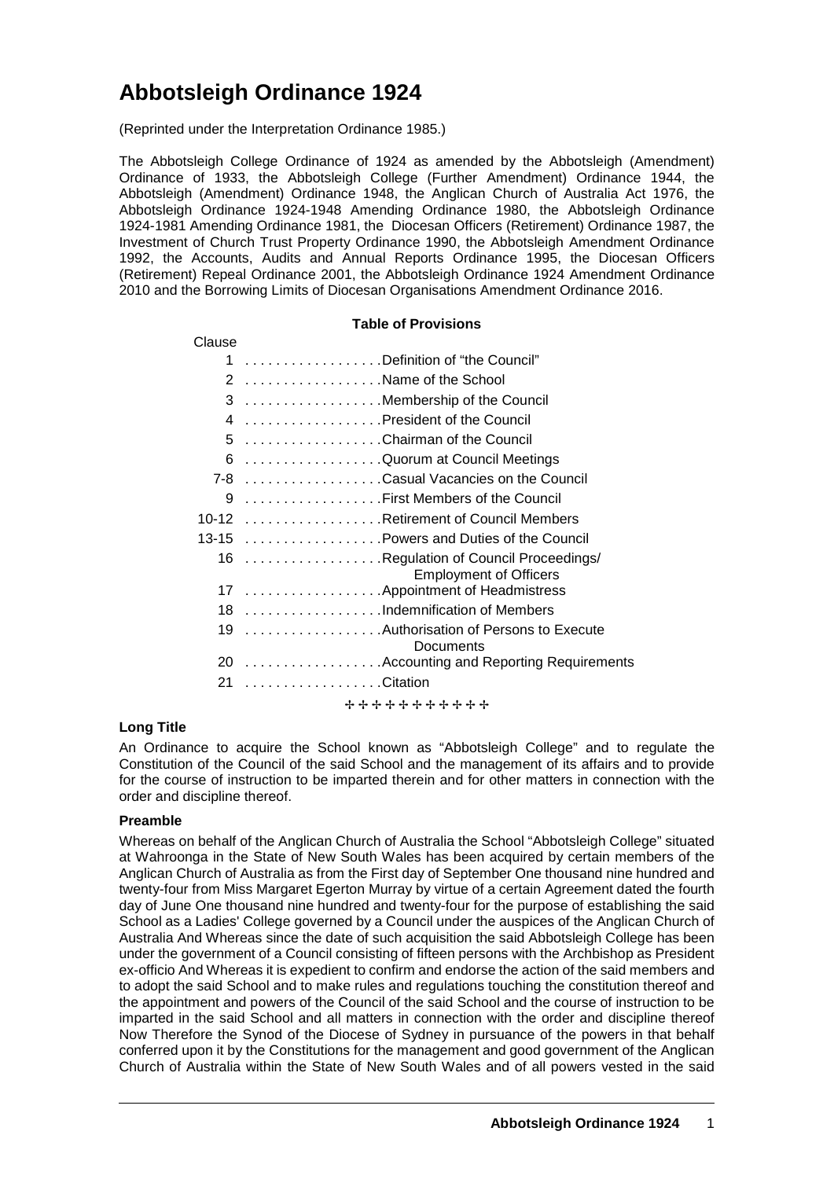# **Abbotsleigh Ordinance 1924**

(Reprinted under the Interpretation Ordinance 1985.)

The Abbotsleigh College Ordinance of 1924 as amended by the Abbotsleigh (Amendment) Ordinance of 1933, the Abbotsleigh College (Further Amendment) Ordinance 1944, the Abbotsleigh (Amendment) Ordinance 1948, the Anglican Church of Australia Act 1976, the Abbotsleigh Ordinance 1924-1948 Amending Ordinance 1980, the Abbotsleigh Ordinance 1924-1981 Amending Ordinance 1981, the Diocesan Officers (Retirement) Ordinance 1987, the Investment of Church Trust Property Ordinance 1990, the Abbotsleigh Amendment Ordinance 1992, the Accounts, Audits and Annual Reports Ordinance 1995, the Diocesan Officers (Retirement) Repeal Ordinance 2001, the Abbotsleigh Ordinance 1924 Amendment Ordinance 2010 and the Borrowing Limits of Diocesan Organisations Amendment Ordinance 2016.

# **Table of Provisions** Clause 1 . . . . . . . . . . . . . . . . . . Definition of "the Council" 2 . . . . . . . . . . . . . . . . . . Name of the School 3 . . . . . . . . . . . . . . . . . . Membership of the Council 4 . . . . . . . . . . . . . . . . . . President of the Council 5 . . . . . . . . . . . . . . . . . . Chairman of the Council 6 . . . . . . . . . . . . . . . . . . Quorum at Council Meetings 7-8 . . . . . . . . . . . . . . . . . . Casual Vacancies on the Council 9 . . . . . . . . . . . . . . . . . . First Members of the Council 10-12 . . . . . . . . . . . . . . . . . . Retirement of Council Members 13-15 . . . . . . . . . . . . . . . . . . Powers and Duties of the Council 16 . . . . . . . . . . . . . . . . . . Regulation of Council Proceedings/ Employment of Officers 17 . . . . . . . . . . . . . . . . . . Appointment of Headmistress 18 . . . . . . . . . . . . . . . . . . Indemnification of Members 19 . . . . . . . . . . . . . . . . . . Authorisation of Persons to Execute **Documents** 20 . . . . . . . . . . . . . . . . . . Accounting and Reporting Requirements 21 . . . . . . . . . . . . . . . . . . Citation + + + + + + + + + + +

# **Long Title**

An Ordinance to acquire the School known as "Abbotsleigh College" and to regulate the Constitution of the Council of the said School and the management of its affairs and to provide for the course of instruction to be imparted therein and for other matters in connection with the order and discipline thereof.

# **Preamble**

Whereas on behalf of the Anglican Church of Australia the School "Abbotsleigh College" situated at Wahroonga in the State of New South Wales has been acquired by certain members of the Anglican Church of Australia as from the First day of September One thousand nine hundred and twenty-four from Miss Margaret Egerton Murray by virtue of a certain Agreement dated the fourth day of June One thousand nine hundred and twenty-four for the purpose of establishing the said School as a Ladies' College governed by a Council under the auspices of the Anglican Church of Australia And Whereas since the date of such acquisition the said Abbotsleigh College has been under the government of a Council consisting of fifteen persons with the Archbishop as President ex-officio And Whereas it is expedient to confirm and endorse the action of the said members and to adopt the said School and to make rules and regulations touching the constitution thereof and the appointment and powers of the Council of the said School and the course of instruction to be imparted in the said School and all matters in connection with the order and discipline thereof Now Therefore the Synod of the Diocese of Sydney in pursuance of the powers in that behalf conferred upon it by the Constitutions for the management and good government of the Anglican Church of Australia within the State of New South Wales and of all powers vested in the said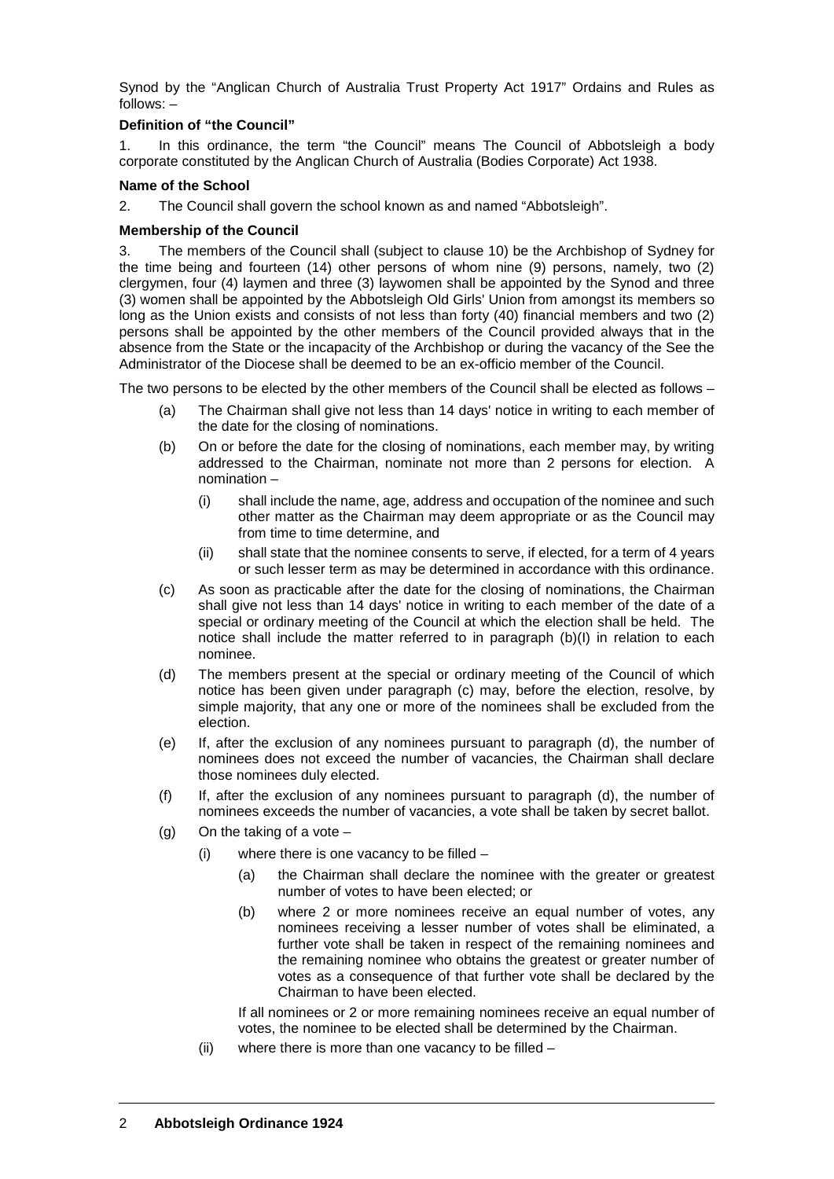Synod by the "Anglican Church of Australia Trust Property Act 1917" Ordains and Rules as follows: –

# **Definition of "the Council"**

1. In this ordinance, the term "the Council" means The Council of Abbotsleigh a body corporate constituted by the Anglican Church of Australia (Bodies Corporate) Act 1938.

#### **Name of the School**

2. The Council shall govern the school known as and named "Abbotsleigh".

#### **Membership of the Council**

3. The members of the Council shall (subject to clause 10) be the Archbishop of Sydney for the time being and fourteen (14) other persons of whom nine (9) persons, namely, two (2) clergymen, four (4) laymen and three (3) laywomen shall be appointed by the Synod and three (3) women shall be appointed by the Abbotsleigh Old Girls' Union from amongst its members so long as the Union exists and consists of not less than forty (40) financial members and two (2) persons shall be appointed by the other members of the Council provided always that in the absence from the State or the incapacity of the Archbishop or during the vacancy of the See the Administrator of the Diocese shall be deemed to be an ex-officio member of the Council.

The two persons to be elected by the other members of the Council shall be elected as follows –

- (a) The Chairman shall give not less than 14 days' notice in writing to each member of the date for the closing of nominations.
- (b) On or before the date for the closing of nominations, each member may, by writing addressed to the Chairman, nominate not more than 2 persons for election. A nomination –
	- (i) shall include the name, age, address and occupation of the nominee and such other matter as the Chairman may deem appropriate or as the Council may from time to time determine, and
	- (ii) shall state that the nominee consents to serve, if elected, for a term of 4 years or such lesser term as may be determined in accordance with this ordinance.
- (c) As soon as practicable after the date for the closing of nominations, the Chairman shall give not less than 14 days' notice in writing to each member of the date of a special or ordinary meeting of the Council at which the election shall be held. The notice shall include the matter referred to in paragraph (b)(I) in relation to each nominee.
- (d) The members present at the special or ordinary meeting of the Council of which notice has been given under paragraph (c) may, before the election, resolve, by simple majority, that any one or more of the nominees shall be excluded from the election.
- (e) If, after the exclusion of any nominees pursuant to paragraph (d), the number of nominees does not exceed the number of vacancies, the Chairman shall declare those nominees duly elected.
- (f) If, after the exclusion of any nominees pursuant to paragraph (d), the number of nominees exceeds the number of vacancies, a vote shall be taken by secret ballot.
- (g) On the taking of a vote  $-$ 
	- (i) where there is one vacancy to be filled  $-$ 
		- (a) the Chairman shall declare the nominee with the greater or greatest number of votes to have been elected; or
		- (b) where 2 or more nominees receive an equal number of votes, any nominees receiving a lesser number of votes shall be eliminated, a further vote shall be taken in respect of the remaining nominees and the remaining nominee who obtains the greatest or greater number of votes as a consequence of that further vote shall be declared by the Chairman to have been elected.

If all nominees or 2 or more remaining nominees receive an equal number of votes, the nominee to be elected shall be determined by the Chairman.

(ii) where there is more than one vacancy to be filled –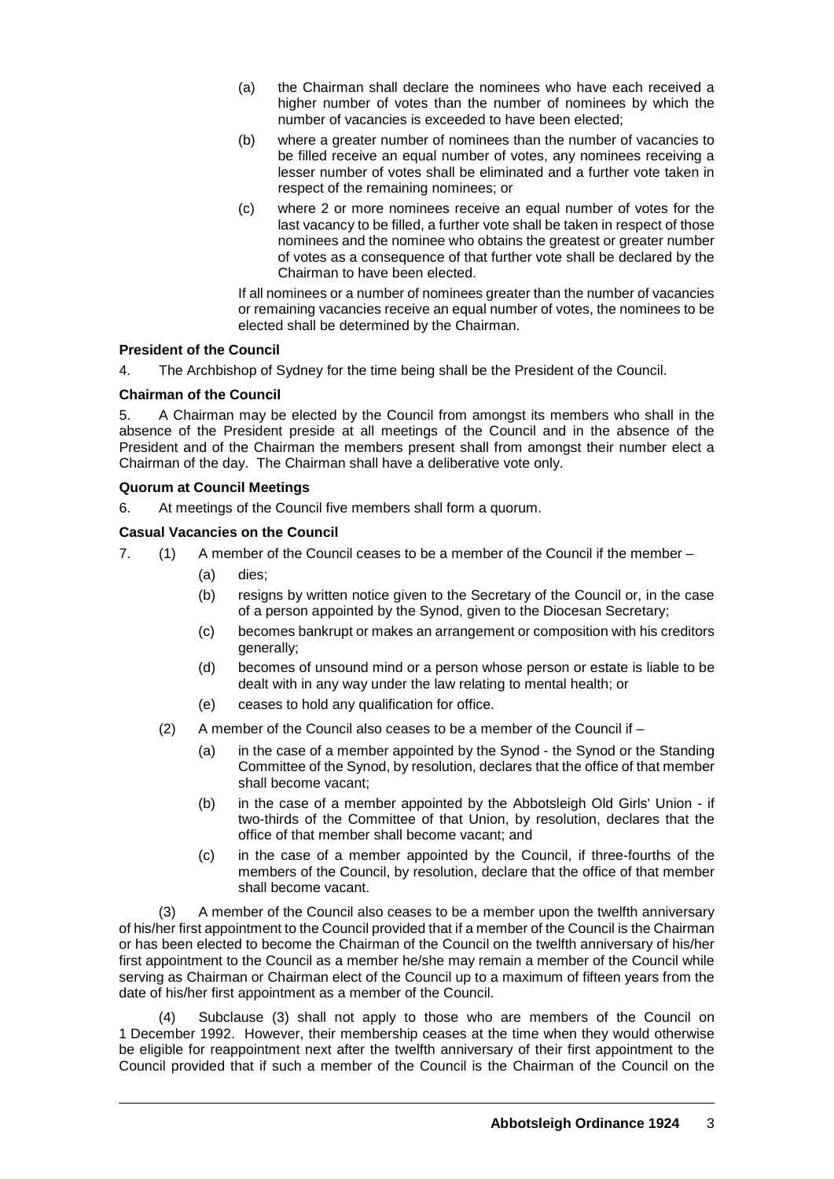- (a) the Chairman shall declare the nominees who have each received a higher number of votes than the number of nominees by which the number of vacancies is exceeded to have been elected;
- (b) where a greater number of nominees than the number of vacancies to be filled receive an equal number of votes, any nominees receiving a lesser number of votes shall be eliminated and a further vote taken in respect of the remaining nominees; or
- (c) where 2 or more nominees receive an equal number of votes for the last vacancy to be filled, a further vote shall be taken in respect of those nominees and the nominee who obtains the greatest or greater number of votes as a consequence of that further vote shall be declared by the Chairman to have been elected.

If all nominees or a number of nominees greater than the number of vacancies or remaining vacancies receive an equal number of votes, the nominees to be elected shall be determined by the Chairman.

# **President of the Council**

4. The Archbishop of Sydney for the time being shall be the President of the Council.

# **Chairman of the Council**

5. A Chairman may be elected by the Council from amongst its members who shall in the absence of the President preside at all meetings of the Council and in the absence of the President and of the Chairman the members present shall from amongst their number elect a Chairman of the day. The Chairman shall have a deliberative vote only.

# **Quorum at Council Meetings**

6. At meetings of the Council five members shall form a quorum.

# **Casual Vacancies on the Council**

- 7. (1) A member of the Council ceases to be a member of the Council if the member
	- (a) dies;
	- (b) resigns by written notice given to the Secretary of the Council or, in the case of a person appointed by the Synod, given to the Diocesan Secretary;
	- (c) becomes bankrupt or makes an arrangement or composition with his creditors generally;
	- (d) becomes of unsound mind or a person whose person or estate is liable to be dealt with in any way under the law relating to mental health; or
	- (e) ceases to hold any qualification for office.
	- (2) A member of the Council also ceases to be a member of the Council if
		- (a) in the case of a member appointed by the Synod the Synod or the Standing Committee of the Synod, by resolution, declares that the office of that member shall become vacant;
		- (b) in the case of a member appointed by the Abbotsleigh Old Girls' Union if two-thirds of the Committee of that Union, by resolution, declares that the office of that member shall become vacant; and
		- (c) in the case of a member appointed by the Council, if three-fourths of the members of the Council, by resolution, declare that the office of that member shall become vacant.

(3) A member of the Council also ceases to be a member upon the twelfth anniversary of his/her first appointment to the Council provided that if a member of the Council is the Chairman or has been elected to become the Chairman of the Council on the twelfth anniversary of his/her first appointment to the Council as a member he/she may remain a member of the Council while serving as Chairman or Chairman elect of the Council up to a maximum of fifteen years from the date of his/her first appointment as a member of the Council.

Subclause (3) shall not apply to those who are members of the Council on 1 December 1992. However, their membership ceases at the time when they would otherwise be eligible for reappointment next after the twelfth anniversary of their first appointment to the Council provided that if such a member of the Council is the Chairman of the Council on the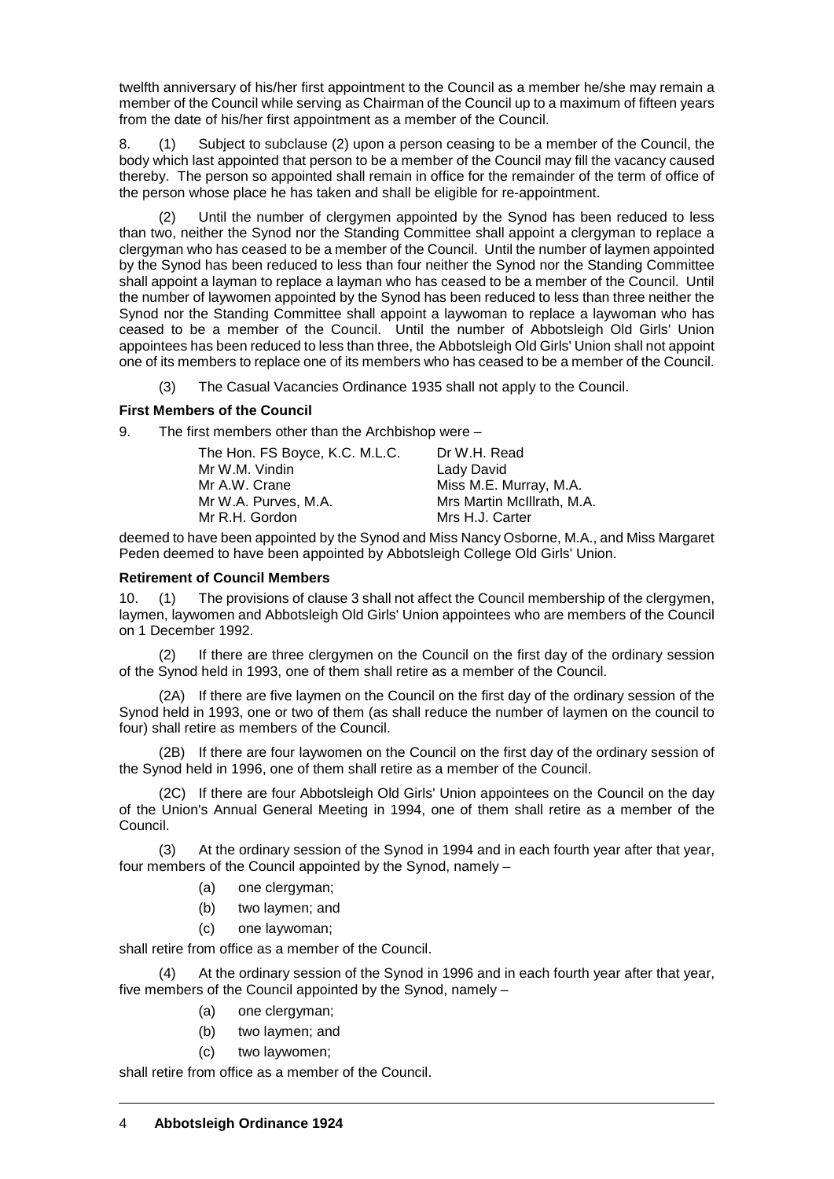twelfth anniversary of his/her first appointment to the Council as a member he/she may remain a member of the Council while serving as Chairman of the Council up to a maximum of fifteen years from the date of his/her first appointment as a member of the Council.

8. (1) Subject to subclause (2) upon a person ceasing to be a member of the Council, the body which last appointed that person to be a member of the Council may fill the vacancy caused thereby. The person so appointed shall remain in office for the remainder of the term of office of the person whose place he has taken and shall be eligible for re-appointment.

Until the number of clergymen appointed by the Synod has been reduced to less than two, neither the Synod nor the Standing Committee shall appoint a clergyman to replace a clergyman who has ceased to be a member of the Council. Until the number of laymen appointed by the Synod has been reduced to less than four neither the Synod nor the Standing Committee shall appoint a layman to replace a layman who has ceased to be a member of the Council. Until the number of laywomen appointed by the Synod has been reduced to less than three neither the Synod nor the Standing Committee shall appoint a laywoman to replace a laywoman who has ceased to be a member of the Council. Until the number of Abbotsleigh Old Girls' Union appointees has been reduced to less than three, the Abbotsleigh Old Girls' Union shall not appoint one of its members to replace one of its members who has ceased to be a member of the Council.

(3) The Casual Vacancies Ordinance 1935 shall not apply to the Council.

# **First Members of the Council**

9. The first members other than the Archbishop were –

| The Hon. FS Boyce, K.C. M.L.C. | Dr W.H. Read               |
|--------------------------------|----------------------------|
| Mr W.M. Vindin                 | Lady David                 |
| Mr A.W. Crane                  | Miss M.E. Murray, M.A.     |
| Mr W.A. Purves, M.A.           | Mrs Martin McIllrath, M.A. |
| Mr R.H. Gordon                 | Mrs H.J. Carter            |
|                                |                            |

deemed to have been appointed by the Synod and Miss Nancy Osborne, M.A., and Miss Margaret Peden deemed to have been appointed by Abbotsleigh College Old Girls' Union.

# **Retirement of Council Members**

10. (1) The provisions of clause 3 shall not affect the Council membership of the clergymen, laymen, laywomen and Abbotsleigh Old Girls' Union appointees who are members of the Council on 1 December 1992.

If there are three clergymen on the Council on the first day of the ordinary session of the Synod held in 1993, one of them shall retire as a member of the Council.

(2A) If there are five laymen on the Council on the first day of the ordinary session of the Synod held in 1993, one or two of them (as shall reduce the number of laymen on the council to four) shall retire as members of the Council.

(2B) If there are four laywomen on the Council on the first day of the ordinary session of the Synod held in 1996, one of them shall retire as a member of the Council.

(2C) If there are four Abbotsleigh Old Girls' Union appointees on the Council on the day of the Union's Annual General Meeting in 1994, one of them shall retire as a member of the Council.

(3) At the ordinary session of the Synod in 1994 and in each fourth year after that year, four members of the Council appointed by the Synod, namely –

- (a) one clergyman;
- (b) two laymen; and
- (c) one laywoman;

shall retire from office as a member of the Council.

At the ordinary session of the Synod in 1996 and in each fourth year after that year, five members of the Council appointed by the Synod, namely –

- (a) one clergyman;
- (b) two laymen; and
- (c) two laywomen;

shall retire from office as a member of the Council.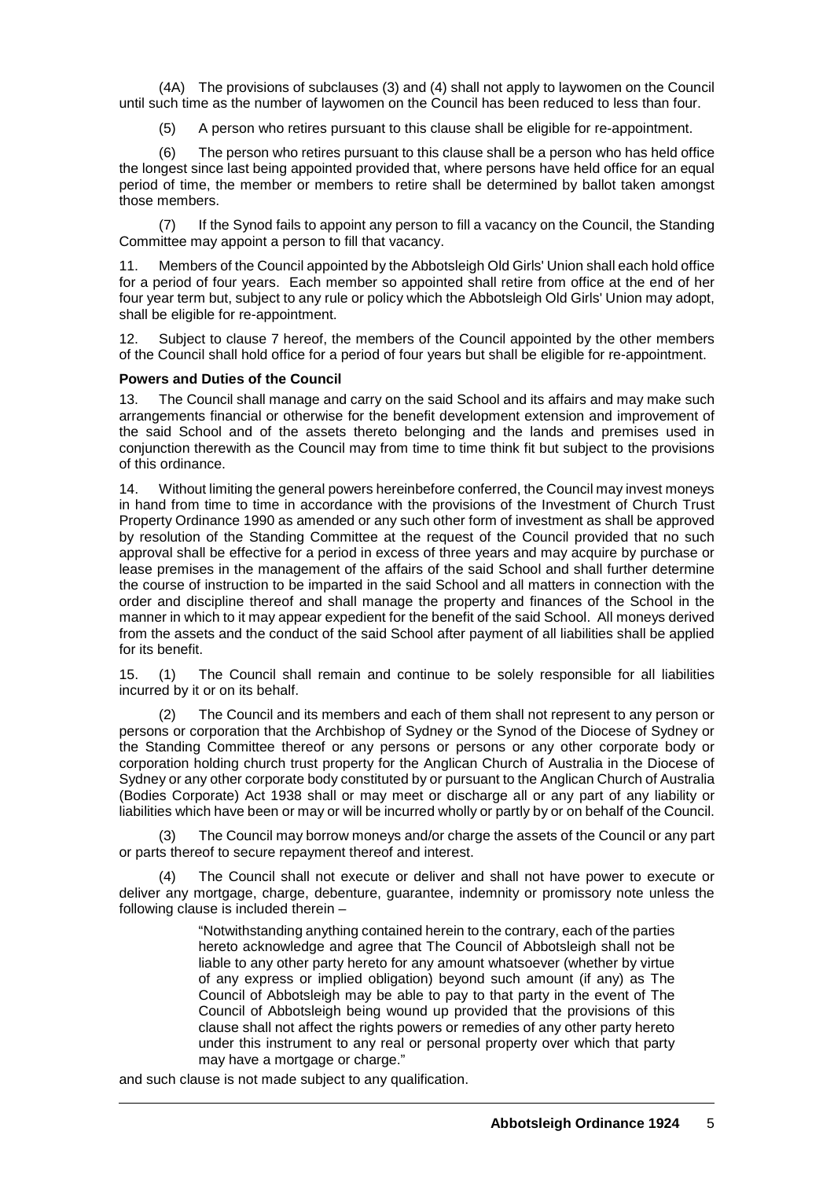(4A) The provisions of subclauses (3) and (4) shall not apply to laywomen on the Council until such time as the number of laywomen on the Council has been reduced to less than four.

(5) A person who retires pursuant to this clause shall be eligible for re-appointment.

(6) The person who retires pursuant to this clause shall be a person who has held office the longest since last being appointed provided that, where persons have held office for an equal period of time, the member or members to retire shall be determined by ballot taken amongst those members.

(7) If the Synod fails to appoint any person to fill a vacancy on the Council, the Standing Committee may appoint a person to fill that vacancy.

11. Members of the Council appointed by the Abbotsleigh Old Girls' Union shall each hold office for a period of four years. Each member so appointed shall retire from office at the end of her four year term but, subject to any rule or policy which the Abbotsleigh Old Girls' Union may adopt, shall be eligible for re-appointment.

12. Subject to clause 7 hereof, the members of the Council appointed by the other members of the Council shall hold office for a period of four years but shall be eligible for re-appointment.

#### **Powers and Duties of the Council**

13. The Council shall manage and carry on the said School and its affairs and may make such arrangements financial or otherwise for the benefit development extension and improvement of the said School and of the assets thereto belonging and the lands and premises used in conjunction therewith as the Council may from time to time think fit but subject to the provisions of this ordinance.

14. Without limiting the general powers hereinbefore conferred, the Council may invest moneys in hand from time to time in accordance with the provisions of the Investment of Church Trust Property Ordinance 1990 as amended or any such other form of investment as shall be approved by resolution of the Standing Committee at the request of the Council provided that no such approval shall be effective for a period in excess of three years and may acquire by purchase or lease premises in the management of the affairs of the said School and shall further determine the course of instruction to be imparted in the said School and all matters in connection with the order and discipline thereof and shall manage the property and finances of the School in the manner in which to it may appear expedient for the benefit of the said School. All moneys derived from the assets and the conduct of the said School after payment of all liabilities shall be applied for its benefit.

15. (1) The Council shall remain and continue to be solely responsible for all liabilities incurred by it or on its behalf.

(2) The Council and its members and each of them shall not represent to any person or persons or corporation that the Archbishop of Sydney or the Synod of the Diocese of Sydney or the Standing Committee thereof or any persons or persons or any other corporate body or corporation holding church trust property for the Anglican Church of Australia in the Diocese of Sydney or any other corporate body constituted by or pursuant to the Anglican Church of Australia (Bodies Corporate) Act 1938 shall or may meet or discharge all or any part of any liability or liabilities which have been or may or will be incurred wholly or partly by or on behalf of the Council.

(3) The Council may borrow moneys and/or charge the assets of the Council or any part or parts thereof to secure repayment thereof and interest.

(4) The Council shall not execute or deliver and shall not have power to execute or deliver any mortgage, charge, debenture, guarantee, indemnity or promissory note unless the following clause is included therein –

> "Notwithstanding anything contained herein to the contrary, each of the parties hereto acknowledge and agree that The Council of Abbotsleigh shall not be liable to any other party hereto for any amount whatsoever (whether by virtue of any express or implied obligation) beyond such amount (if any) as The Council of Abbotsleigh may be able to pay to that party in the event of The Council of Abbotsleigh being wound up provided that the provisions of this clause shall not affect the rights powers or remedies of any other party hereto under this instrument to any real or personal property over which that party may have a mortgage or charge."

and such clause is not made subject to any qualification.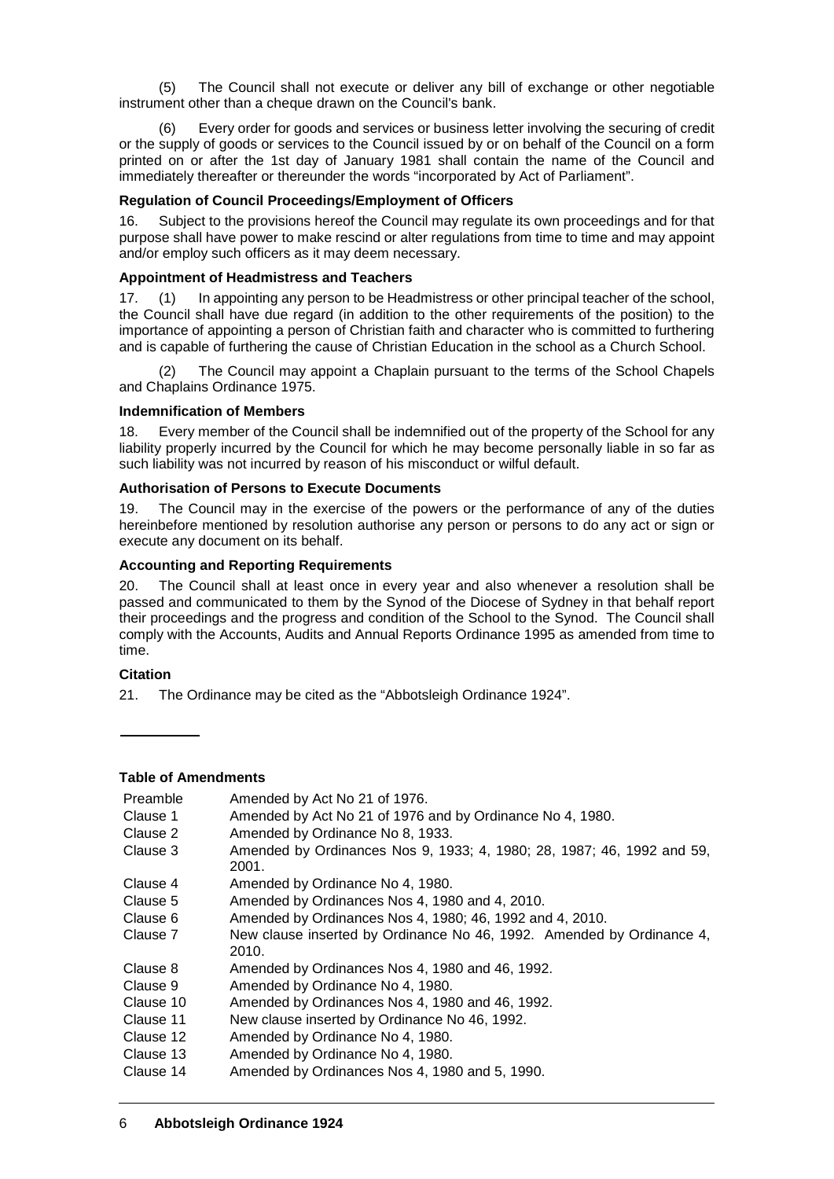(5) The Council shall not execute or deliver any bill of exchange or other negotiable instrument other than a cheque drawn on the Council's bank.

(6) Every order for goods and services or business letter involving the securing of credit or the supply of goods or services to the Council issued by or on behalf of the Council on a form printed on or after the 1st day of January 1981 shall contain the name of the Council and immediately thereafter or thereunder the words "incorporated by Act of Parliament".

# **Regulation of Council Proceedings/Employment of Officers**

16. Subject to the provisions hereof the Council may regulate its own proceedings and for that purpose shall have power to make rescind or alter regulations from time to time and may appoint and/or employ such officers as it may deem necessary.

# **Appointment of Headmistress and Teachers**

17. (1) In appointing any person to be Headmistress or other principal teacher of the school, the Council shall have due regard (in addition to the other requirements of the position) to the importance of appointing a person of Christian faith and character who is committed to furthering and is capable of furthering the cause of Christian Education in the school as a Church School.

(2) The Council may appoint a Chaplain pursuant to the terms of the School Chapels and Chaplains Ordinance 1975.

# **Indemnification of Members**

18. Every member of the Council shall be indemnified out of the property of the School for any liability properly incurred by the Council for which he may become personally liable in so far as such liability was not incurred by reason of his misconduct or wilful default.

# **Authorisation of Persons to Execute Documents**

19. The Council may in the exercise of the powers or the performance of any of the duties hereinbefore mentioned by resolution authorise any person or persons to do any act or sign or execute any document on its behalf.

#### **Accounting and Reporting Requirements**

20. The Council shall at least once in every year and also whenever a resolution shall be passed and communicated to them by the Synod of the Diocese of Sydney in that behalf report their proceedings and the progress and condition of the School to the Synod. The Council shall comply with the Accounts, Audits and Annual Reports Ordinance 1995 as amended from time to time.

# **Citation**

21. The Ordinance may be cited as the "Abbotsleigh Ordinance 1924".

# **Table of Amendments**

| Preamble  | Amended by Act No 21 of 1976.                                                   |
|-----------|---------------------------------------------------------------------------------|
| Clause 1  | Amended by Act No 21 of 1976 and by Ordinance No 4, 1980.                       |
| Clause 2  | Amended by Ordinance No 8, 1933.                                                |
| Clause 3  | Amended by Ordinances Nos 9, 1933; 4, 1980; 28, 1987; 46, 1992 and 59,<br>2001. |
| Clause 4  | Amended by Ordinance No 4, 1980.                                                |
| Clause 5  | Amended by Ordinances Nos 4, 1980 and 4, 2010.                                  |
| Clause 6  | Amended by Ordinances Nos 4, 1980; 46, 1992 and 4, 2010.                        |
| Clause 7  | New clause inserted by Ordinance No 46, 1992. Amended by Ordinance 4,<br>2010.  |
| Clause 8  | Amended by Ordinances Nos 4, 1980 and 46, 1992.                                 |
| Clause 9  | Amended by Ordinance No 4, 1980.                                                |
| Clause 10 | Amended by Ordinances Nos 4, 1980 and 46, 1992.                                 |
| Clause 11 | New clause inserted by Ordinance No 46, 1992.                                   |
| Clause 12 | Amended by Ordinance No 4, 1980.                                                |
| Clause 13 | Amended by Ordinance No 4, 1980.                                                |
| Clause 14 | Amended by Ordinances Nos 4, 1980 and 5, 1990.                                  |